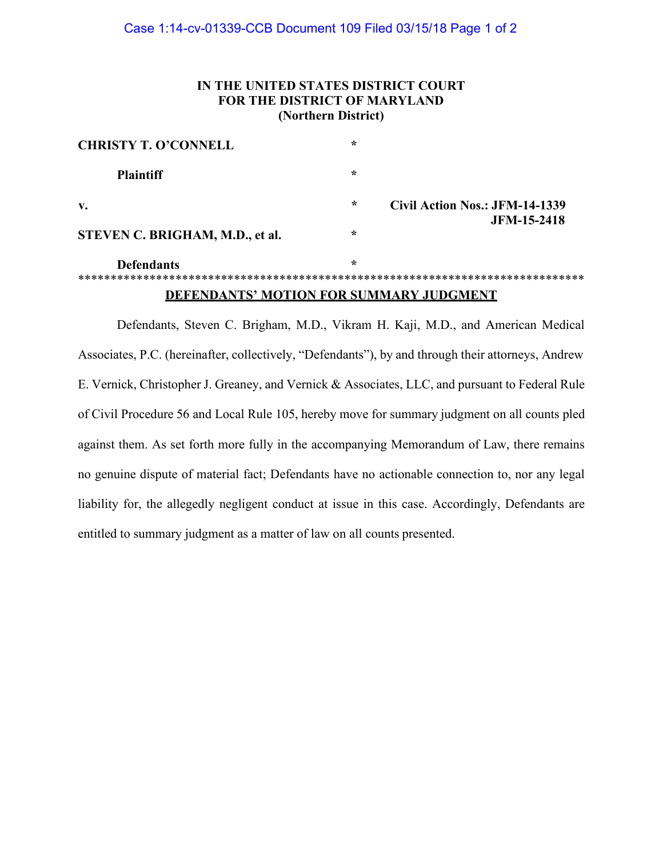# Case 1:14-cv-01339-CCB Document 109 Filed 03/15/18 Page 1 of 2

# **IN THE UNITED STATES DISTRICT COURT FOR THE DISTRICT OF MARYLAND (Northern District)**

| <b>CHRISTY T. O'CONNELL</b>             | $\star$ |                                                      |
|-----------------------------------------|---------|------------------------------------------------------|
| <b>Plaintiff</b>                        | $\star$ |                                                      |
| v.                                      | $\star$ | Civil Action Nos.: JFM-14-1339<br><b>JFM-15-2418</b> |
| STEVEN C. BRIGHAM, M.D., et al.         | $\star$ |                                                      |
| <b>Defendants</b>                       | $\star$ |                                                      |
| DEFENDANTS' MOTION FOR SUMMARY JUDGMENT |         |                                                      |

Defendants, Steven C. Brigham, M.D., Vikram H. Kaji, M.D., and American Medical Associates, P.C. (hereinafter, collectively, "Defendants"), by and through their attorneys, Andrew E. Vernick, Christopher J. Greaney, and Vernick & Associates, LLC, and pursuant to Federal Rule of Civil Procedure 56 and Local Rule 105, hereby move for summary judgment on all counts pled against them. As set forth more fully in the accompanying Memorandum of Law, there remains no genuine dispute of material fact; Defendants have no actionable connection to, nor any legal liability for, the allegedly negligent conduct at issue in this case. Accordingly, Defendants are entitled to summary judgment as a matter of law on all counts presented.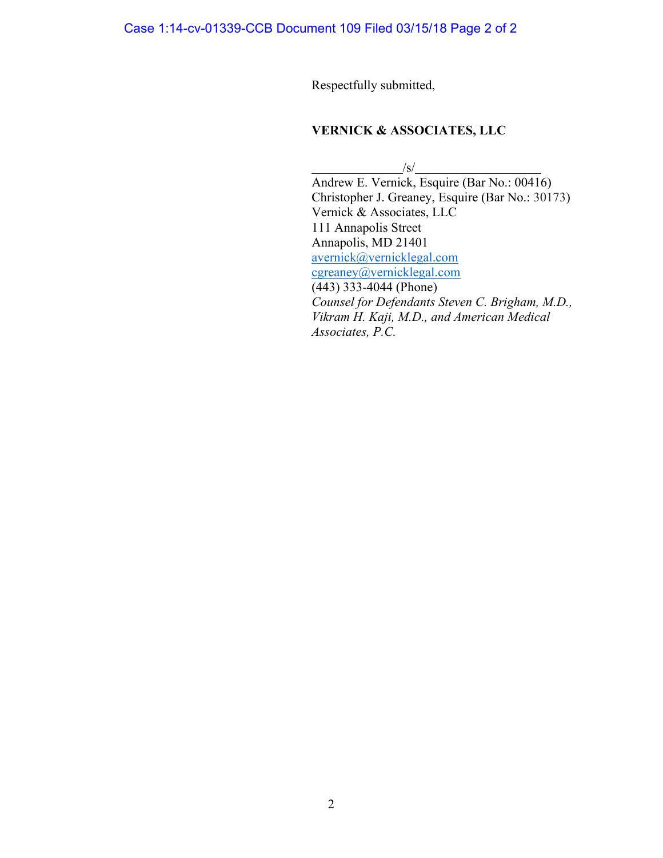Case 1:14-cv-01339-CCB Document 109 Filed 03/15/18 Page 2 of 2

Respectfully submitted,

# **VERNICK & ASSOCIATES, LLC**

/s/

Andrew E. Vernick, Esquire (Bar No.: 00416) Christopher J. Greaney, Esquire (Bar No.: 30173) Vernick & Associates, LLC 111 Annapolis Street Annapolis, MD 21401 [avernick@vernicklegal.com](mailto:avernick@vernicklegal.com) [cgreaney@vernicklegal.com](mailto:cgreaney@vernicklegal.com) (443) 333-4044 (Phone) *Counsel for Defendants Steven C. Brigham, M.D., Vikram H. Kaji, M.D., and American Medical Associates, P.C.*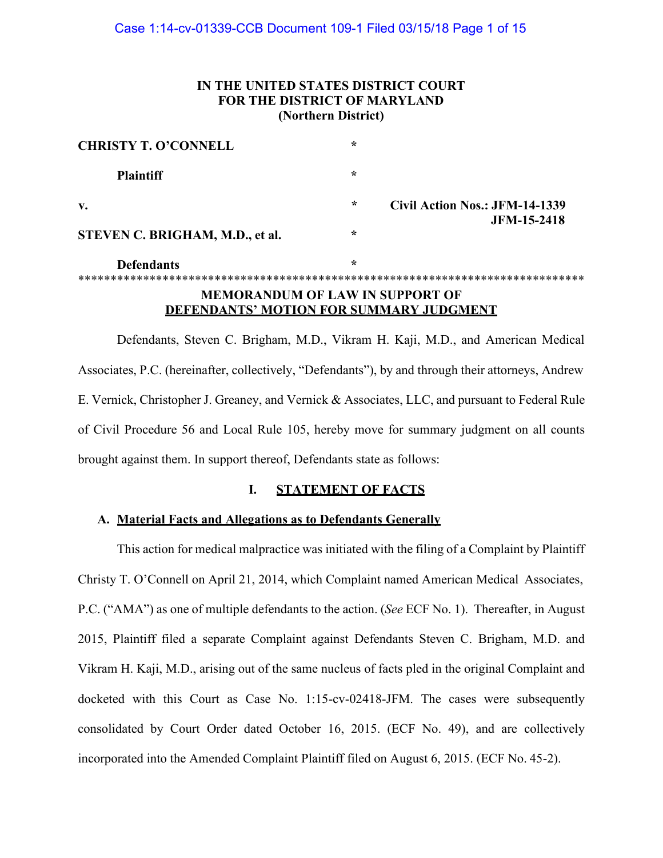# **IN THE UNITED STATES DISTRICT COURT FOR THE DISTRICT OF MARYLAND (Northern District)**

| <b>CHRISTY T. O'CONNELL</b>             | $\star$ |                                |
|-----------------------------------------|---------|--------------------------------|
| <b>Plaintiff</b>                        | $\star$ |                                |
| V.                                      | $\star$ | Civil Action Nos.: JFM-14-1339 |
| STEVEN C. BRIGHAM, M.D., et al.         | $\star$ | <b>JFM-15-2418</b>             |
| <b>Defendants</b>                       | $\star$ |                                |
|                                         |         |                                |
| <b>MEMORANDUM OF LAW IN SUPPORT OF</b>  |         |                                |
| DEFENDANTS' MOTION FOR SUMMARY JUDGMENT |         |                                |

Defendants, Steven C. Brigham, M.D., Vikram H. Kaji, M.D., and American Medical Associates, P.C. (hereinafter, collectively, "Defendants"), by and through their attorneys, Andrew E. Vernick, Christopher J. Greaney, and Vernick & Associates, LLC, and pursuant to Federal Rule of Civil Procedure 56 and Local Rule 105, hereby move for summary judgment on all counts brought against them. In support thereof, Defendants state as follows:

#### **I. STATEMENT OF FACTS**

### **A. Material Facts and Allegations as to Defendants Generally**

This action for medical malpractice was initiated with the filing of a Complaint by Plaintiff Christy T. O'Connell on April 21, 2014, which Complaint named American Medical Associates, P.C. ("AMA") as one of multiple defendants to the action. (*See* ECF No. 1). Thereafter, in August 2015, Plaintiff filed a separate Complaint against Defendants Steven C. Brigham, M.D. and Vikram H. Kaji, M.D., arising out of the same nucleus of facts pled in the original Complaint and docketed with this Court as Case No. 1:15-cv-02418-JFM. The cases were subsequently consolidated by Court Order dated October 16, 2015. (ECF No. 49), and are collectively incorporated into the Amended Complaint Plaintiff filed on August 6, 2015. (ECF No. 45-2).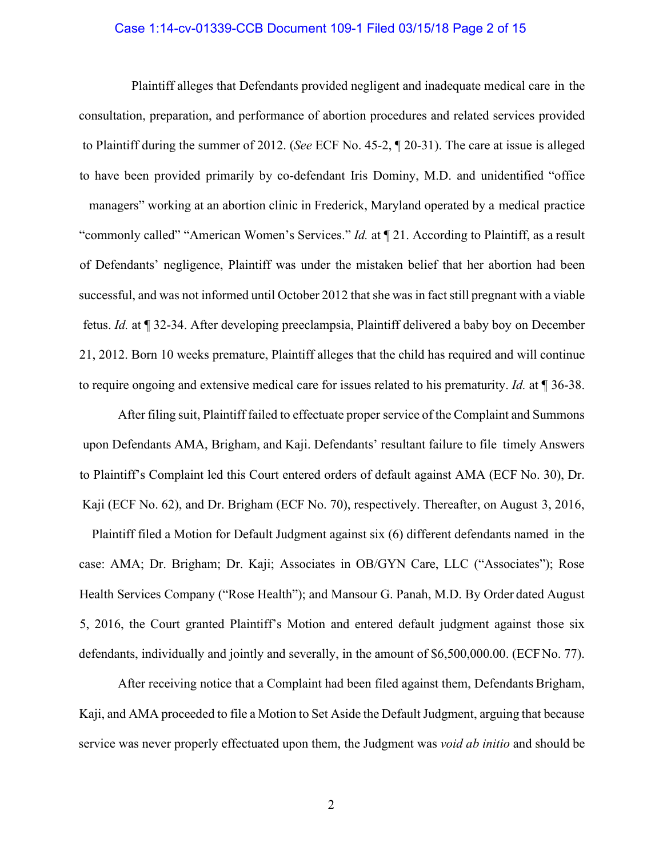### Case 1:14-cv-01339-CCB Document 109-1 Filed 03/15/18 Page 2 of 15

Plaintiff alleges that Defendants provided negligent and inadequate medical care in the consultation, preparation, and performance of abortion procedures and related services provided to Plaintiff during the summer of 2012. (*See* ECF No. 45-2, ¶ 20-31). The care at issue is alleged to have been provided primarily by co-defendant Iris Dominy, M.D. and unidentified "office managers" working at an abortion clinic in Frederick, Maryland operated by a medical practice "commonly called" "American Women's Services." *Id.* at ¶ 21. According to Plaintiff, as a result of Defendants' negligence, Plaintiff was under the mistaken belief that her abortion had been successful, and was not informed until October 2012 that she was in fact still pregnant with a viable fetus. *Id.* at ¶ 32-34. After developing preeclampsia, Plaintiff delivered a baby boy on December 21, 2012. Born 10 weeks premature, Plaintiff alleges that the child has required and will continue to require ongoing and extensive medical care for issues related to his prematurity. *Id.* at ¶ 36-38.

After filing suit, Plaintiff failed to effectuate proper service of the Complaint and Summons upon Defendants AMA, Brigham, and Kaji. Defendants' resultant failure to file timely Answers to Plaintiff's Complaint led this Court entered orders of default against AMA (ECF No. 30), Dr. Kaji (ECF No. 62), and Dr. Brigham (ECF No. 70), respectively. Thereafter, on August 3, 2016, Plaintiff filed a Motion for Default Judgment against six (6) different defendants named in the case: AMA; Dr. Brigham; Dr. Kaji; Associates in OB/GYN Care, LLC ("Associates"); Rose Health Services Company ("Rose Health"); and Mansour G. Panah, M.D. By Order dated August 5, 2016, the Court granted Plaintiff's Motion and entered default judgment against those six defendants, individually and jointly and severally, in the amount of \$6,500,000.00. (ECFNo. 77).

After receiving notice that a Complaint had been filed against them, Defendants Brigham, Kaji, and AMA proceeded to file a Motion to Set Aside the Default Judgment, arguing that because service was never properly effectuated upon them, the Judgment was *void ab initio* and should be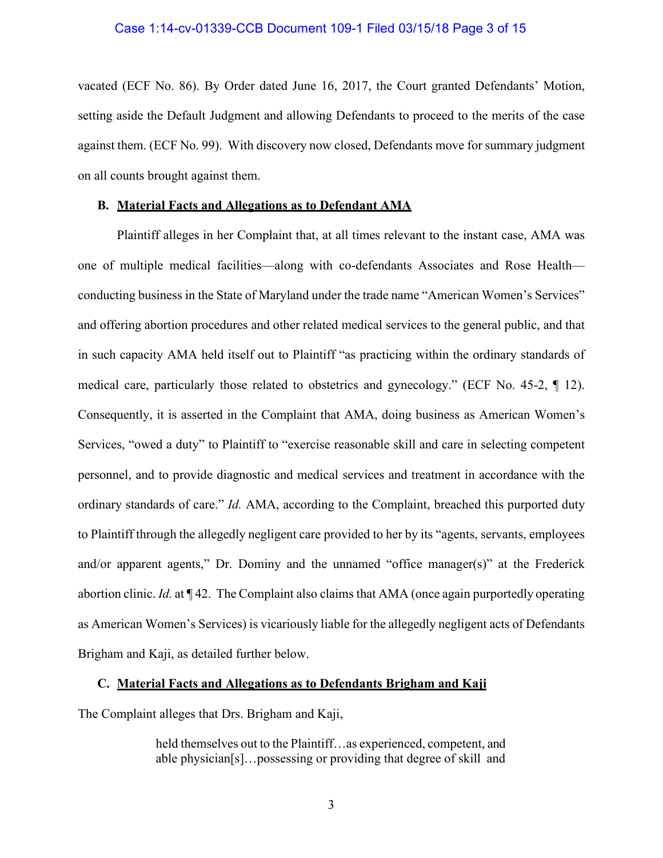#### Case 1:14-cv-01339-CCB Document 109-1 Filed 03/15/18 Page 3 of 15

vacated (ECF No. 86). By Order dated June 16, 2017, the Court granted Defendants' Motion, setting aside the Default Judgment and allowing Defendants to proceed to the merits of the case against them. (ECF No. 99). With discovery now closed, Defendants move for summary judgment on all counts brought against them.

#### **B. Material Facts and Allegations as to Defendant AMA**

Plaintiff alleges in her Complaint that, at all times relevant to the instant case, AMA was one of multiple medical facilities—along with co-defendants Associates and Rose Health conducting business in the State of Maryland under the trade name "American Women's Services" and offering abortion procedures and other related medical services to the general public, and that in such capacity AMA held itself out to Plaintiff "as practicing within the ordinary standards of medical care, particularly those related to obstetrics and gynecology." (ECF No. 45-2, ¶ 12). Consequently, it is asserted in the Complaint that AMA, doing business as American Women's Services, "owed a duty" to Plaintiff to "exercise reasonable skill and care in selecting competent personnel, and to provide diagnostic and medical services and treatment in accordance with the ordinary standards of care." *Id.* AMA, according to the Complaint, breached this purported duty to Plaintiff through the allegedly negligent care provided to her by its "agents, servants, employees and/or apparent agents," Dr. Dominy and the unnamed "office manager(s)" at the Frederick abortion clinic. *Id.* at ¶ 42. The Complaint also claims that AMA (once again purportedly operating as American Women's Services) is vicariously liable for the allegedly negligent acts of Defendants Brigham and Kaji, as detailed further below.

### **C. Material Facts and Allegations as to Defendants Brigham and Kaji**

The Complaint alleges that Drs. Brigham and Kaji,

held themselves out to the Plaintiff…as experienced, competent, and able physician[s]…possessing or providing that degree of skill and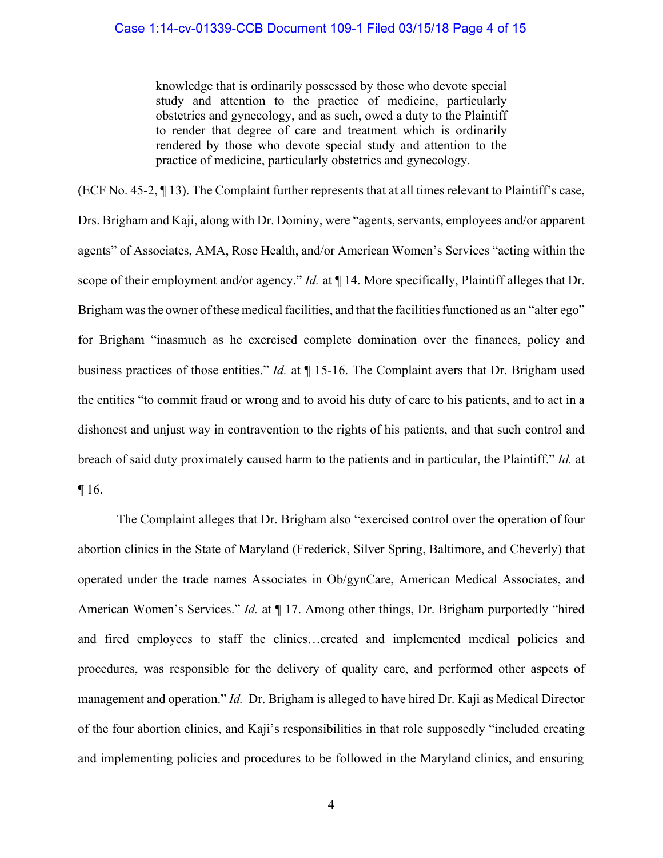knowledge that is ordinarily possessed by those who devote special study and attention to the practice of medicine, particularly obstetrics and gynecology, and as such, owed a duty to the Plaintiff to render that degree of care and treatment which is ordinarily rendered by those who devote special study and attention to the practice of medicine, particularly obstetrics and gynecology.

(ECF No. 45-2, ¶ 13). The Complaint further represents that at all times relevant to Plaintiff's case, Drs. Brigham and Kaji, along with Dr. Dominy, were "agents, servants, employees and/or apparent agents" of Associates, AMA, Rose Health, and/or American Women's Services "acting within the scope of their employment and/or agency." *Id.* at  $\P$  14. More specifically, Plaintiff alleges that Dr. Brigham was the owner of these medical facilities, and that the facilities functioned as an "alter ego" for Brigham "inasmuch as he exercised complete domination over the finances, policy and business practices of those entities." *Id.* at ¶ 15-16. The Complaint avers that Dr. Brigham used the entities "to commit fraud or wrong and to avoid his duty of care to his patients, and to act in a dishonest and unjust way in contravention to the rights of his patients, and that such control and breach of said duty proximately caused harm to the patients and in particular, the Plaintiff." *Id.* at ¶ 16.

The Complaint alleges that Dr. Brigham also "exercised control over the operation of four abortion clinics in the State of Maryland (Frederick, Silver Spring, Baltimore, and Cheverly) that operated under the trade names Associates in Ob/gynCare, American Medical Associates, and American Women's Services." *Id.* at  $\P$  17. Among other things, Dr. Brigham purportedly "hired" and fired employees to staff the clinics…created and implemented medical policies and procedures, was responsible for the delivery of quality care, and performed other aspects of management and operation." *Id.* Dr. Brigham is alleged to have hired Dr. Kaji as Medical Director of the four abortion clinics, and Kaji's responsibilities in that role supposedly "included creating and implementing policies and procedures to be followed in the Maryland clinics, and ensuring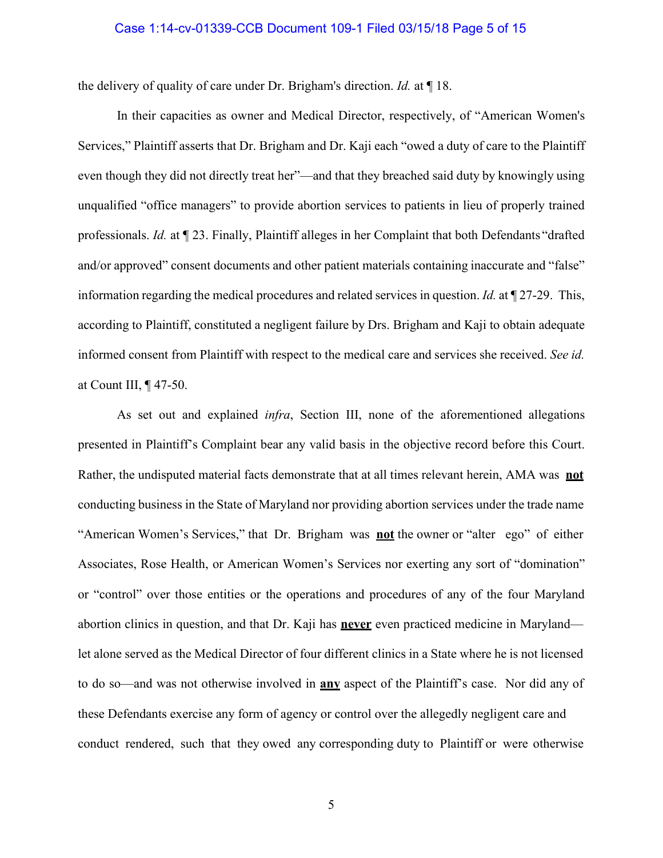#### Case 1:14-cv-01339-CCB Document 109-1 Filed 03/15/18 Page 5 of 15

the delivery of quality of care under Dr. Brigham's direction. *Id.* at ¶ 18.

In their capacities as owner and Medical Director, respectively, of "American Women's Services," Plaintiff asserts that Dr. Brigham and Dr. Kaji each "owed a duty of care to the Plaintiff even though they did not directly treat her"—and that they breached said duty by knowingly using unqualified "office managers" to provide abortion services to patients in lieu of properly trained professionals. *Id.* at ¶ 23. Finally, Plaintiff alleges in her Complaint that both Defendants "drafted and/or approved" consent documents and other patient materials containing inaccurate and "false" information regarding the medical procedures and related services in question. *Id.* at ¶ 27-29. This, according to Plaintiff, constituted a negligent failure by Drs. Brigham and Kaji to obtain adequate informed consent from Plaintiff with respect to the medical care and services she received. *See id.*  at Count III, ¶ 47-50.

As set out and explained *infra*, Section III, none of the aforementioned allegations presented in Plaintiff's Complaint bear any valid basis in the objective record before this Court. Rather, the undisputed material facts demonstrate that at all times relevant herein, AMA was **not** conducting business in the State of Maryland nor providing abortion services under the trade name "American Women's Services," that Dr. Brigham was **not** the owner or "alter ego" of either Associates, Rose Health, or American Women's Services nor exerting any sort of "domination" or "control" over those entities or the operations and procedures of any of the four Maryland abortion clinics in question, and that Dr. Kaji has **never** even practiced medicine in Maryland let alone served as the Medical Director of four different clinics in a State where he is not licensed to do so—and was not otherwise involved in **any** aspect of the Plaintiff's case. Nor did any of these Defendants exercise any form of agency or control over the allegedly negligent care and conduct rendered, such that they owed any corresponding duty to Plaintiff or were otherwise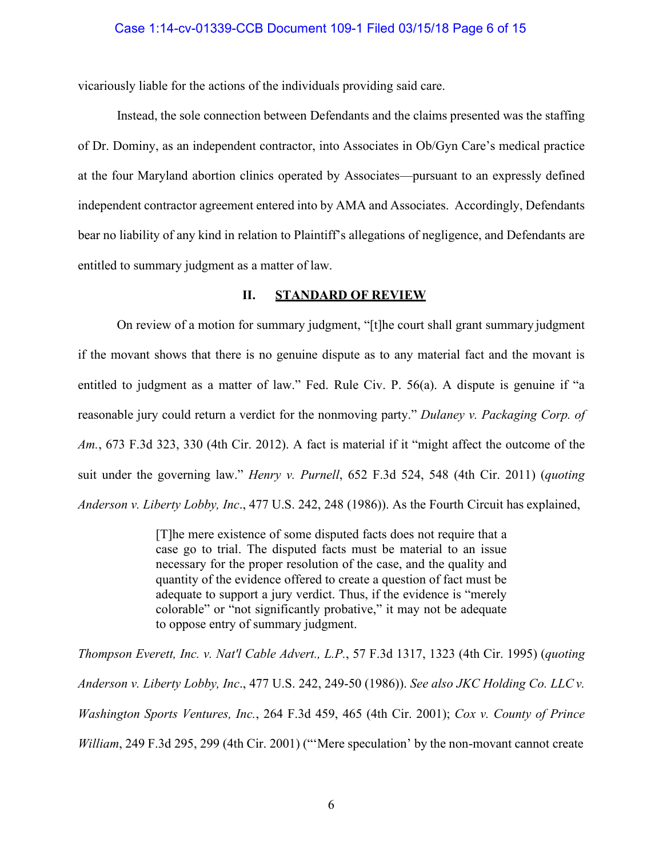### Case 1:14-cv-01339-CCB Document 109-1 Filed 03/15/18 Page 6 of 15

vicariously liable for the actions of the individuals providing said care.

Instead, the sole connection between Defendants and the claims presented was the staffing of Dr. Dominy, as an independent contractor, into Associates in Ob/Gyn Care's medical practice at the four Maryland abortion clinics operated by Associates—pursuant to an expressly defined independent contractor agreement entered into by AMA and Associates. Accordingly, Defendants bear no liability of any kind in relation to Plaintiff's allegations of negligence, and Defendants are entitled to summary judgment as a matter of law.

#### **II. STANDARD OF REVIEW**

On review of a motion for summary judgment, "[t]he court shall grant summary judgment if the movant shows that there is no genuine dispute as to any material fact and the movant is entitled to judgment as a matter of law." Fed. Rule Civ. P. 56(a). A dispute is genuine if "a reasonable jury could return a verdict for the nonmoving party." *Dulaney v. Packaging Corp. of Am.*, 673 F.3d 323, 330 (4th Cir. 2012). A fact is material if it "might affect the outcome of the suit under the governing law." *Henry v. Purnell*, 652 F.3d 524, 548 (4th Cir. 2011) (*quoting Anderson v. Liberty Lobby, Inc*., 477 U.S. 242, 248 (1986)). As the Fourth Circuit has explained,

> [T]he mere existence of some disputed facts does not require that a case go to trial. The disputed facts must be material to an issue necessary for the proper resolution of the case, and the quality and quantity of the evidence offered to create a question of fact must be adequate to support a jury verdict. Thus, if the evidence is "merely colorable" or "not significantly probative," it may not be adequate to oppose entry of summary judgment.

*Thompson Everett, Inc. v. Nat'l Cable Advert., L.P.*, 57 F.3d 1317, 1323 (4th Cir. 1995) (*quoting Anderson v. Liberty Lobby, Inc*., 477 U.S. 242, 249-50 (1986)). *See also JKC Holding Co. LLCv. Washington Sports Ventures, Inc.*, 264 F.3d 459, 465 (4th Cir. 2001); *Cox v. County of Prince William*, 249 F.3d 295, 299 (4th Cir. 2001) ("'Mere speculation' by the non-movant cannot create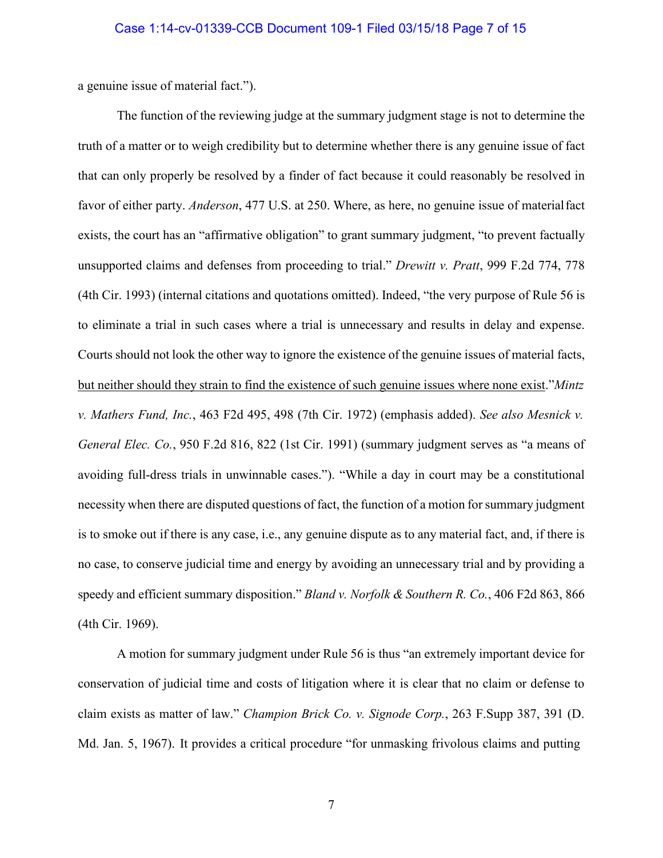a genuine issue of material fact.").

The function of the reviewing judge at the summary judgment stage is not to determine the truth of a matter or to weigh credibility but to determine whether there is any genuine issue of fact that can only properly be resolved by a finder of fact because it could reasonably be resolved in favor of either party. *Anderson*, 477 U.S. at 250. Where, as here, no genuine issue of materialfact exists, the court has an "affirmative obligation" to grant summary judgment, "to prevent factually unsupported claims and defenses from proceeding to trial." *Drewitt v. Pratt*, 999 F.2d 774, 778 (4th Cir. 1993) (internal citations and quotations omitted). Indeed, "the very purpose of Rule 56 is to eliminate a trial in such cases where a trial is unnecessary and results in delay and expense. Courts should not look the other way to ignore the existence of the genuine issues of material facts, but neither should they strain to find the existence of such genuine issues where none exist."*Mintz v. Mathers Fund, Inc.*, 463 F2d 495, 498 (7th Cir. 1972) (emphasis added). *See also Mesnick v. General Elec. Co.*, 950 F.2d 816, 822 (1st Cir. 1991) (summary judgment serves as "a means of avoiding full-dress trials in unwinnable cases."). "While a day in court may be a constitutional necessity when there are disputed questions of fact, the function of a motion for summary judgment is to smoke out if there is any case, i.e., any genuine dispute as to any material fact, and, if there is no case, to conserve judicial time and energy by avoiding an unnecessary trial and by providing a speedy and efficient summary disposition." *Bland v. Norfolk & Southern R. Co.*, 406 F2d 863, 866 (4th Cir. 1969).

A motion for summary judgment under Rule 56 is thus "an extremely important device for conservation of judicial time and costs of litigation where it is clear that no claim or defense to claim exists as matter of law." *Champion Brick Co. v. Signode Corp.*, 263 F.Supp 387, 391 (D. Md. Jan. 5, 1967). It provides a critical procedure "for unmasking frivolous claims and putting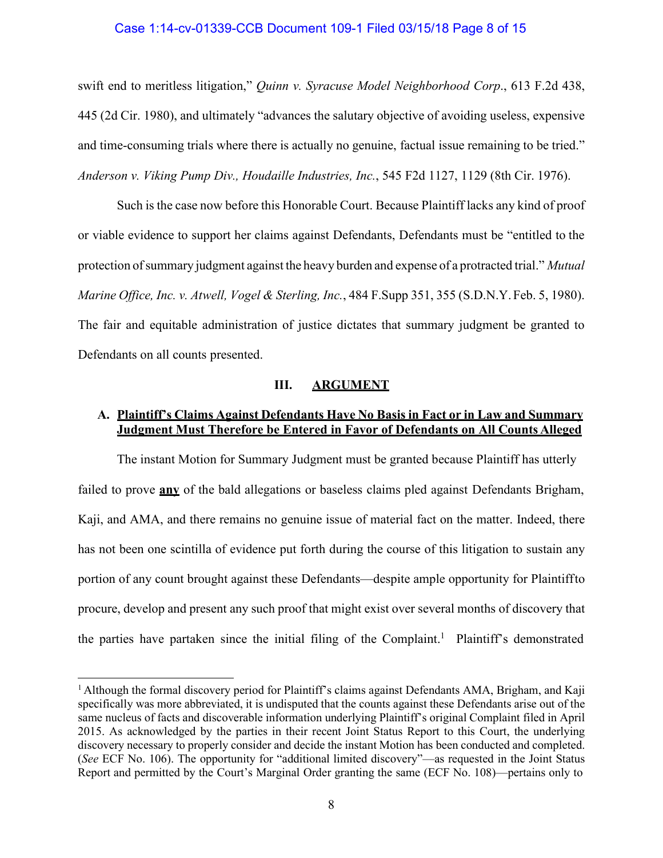#### Case 1:14-cv-01339-CCB Document 109-1 Filed 03/15/18 Page 8 of 15

swift end to meritless litigation," *Quinn v. Syracuse Model Neighborhood Corp*., 613 F.2d 438, 445 (2d Cir. 1980), and ultimately "advances the salutary objective of avoiding useless, expensive and time-consuming trials where there is actually no genuine, factual issue remaining to be tried." *Anderson v. Viking Pump Div., Houdaille Industries, Inc.*, 545 F2d 1127, 1129 (8th Cir. 1976).

Such is the case now before this Honorable Court. Because Plaintiff lacks any kind of proof or viable evidence to support her claims against Defendants, Defendants must be "entitled to the protection ofsummary judgment against the heavy burden and expense of a protracted trial." *Mutual Marine Office, Inc. v. Atwell, Vogel & Sterling, Inc.*, 484 F.Supp 351, 355 (S.D.N.Y. Feb. 5, 1980). The fair and equitable administration of justice dictates that summary judgment be granted to Defendants on all counts presented.

#### **III. ARGUMENT**

### **A. Plaintiff's Claims Against Defendants Have No Basis in Fact or in Law and Summary Judgment Must Therefore be Entered in Favor of Defendants on All Counts Alleged**

The instant Motion for Summary Judgment must be granted because Plaintiff has utterly failed to prove **any** of the bald allegations or baseless claims pled against Defendants Brigham, Kaji, and AMA, and there remains no genuine issue of material fact on the matter. Indeed, there has not been one scintilla of evidence put forth during the course of this litigation to sustain any portion of any count brought against these Defendants—despite ample opportunity for Plaintiffto procure, develop and present any such proof that might exist over several months of discovery that the parties have partaken since the initial filing of the Complaint.<sup>1</sup> Plaintiff's demonstrated

<sup>&</sup>lt;sup>1</sup> Although the formal discovery period for Plaintiff's claims against Defendants AMA, Brigham, and Kaji specifically was more abbreviated, it is undisputed that the counts against these Defendants arise out of the same nucleus of facts and discoverable information underlying Plaintiff's original Complaint filed in April 2015. As acknowledged by the parties in their recent Joint Status Report to this Court, the underlying discovery necessary to properly consider and decide the instant Motion has been conducted and completed. (*See* ECF No. 106). The opportunity for "additional limited discovery"—as requested in the Joint Status Report and permitted by the Court's Marginal Order granting the same (ECF No. 108)—pertains only to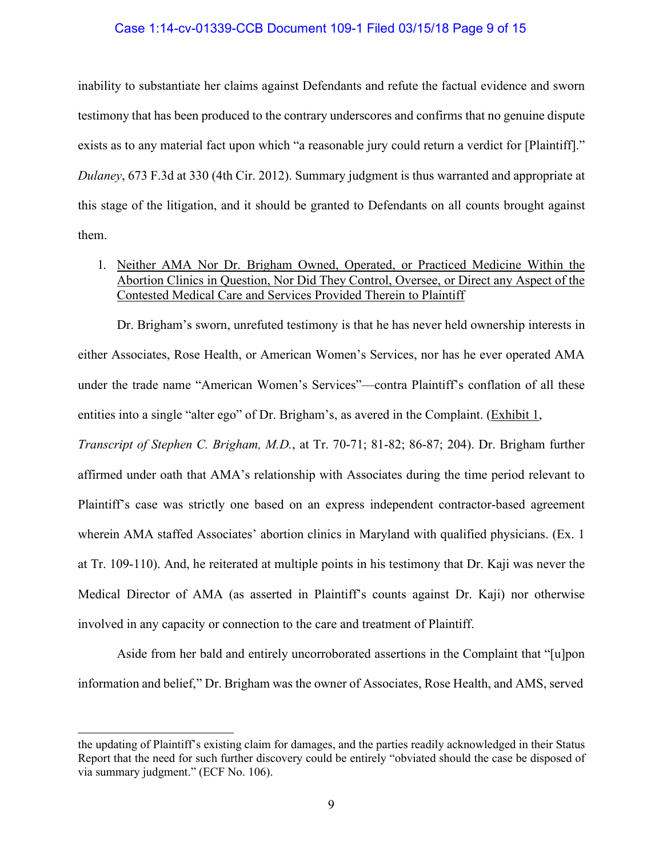#### Case 1:14-cv-01339-CCB Document 109-1 Filed 03/15/18 Page 9 of 15

inability to substantiate her claims against Defendants and refute the factual evidence and sworn testimony that has been produced to the contrary underscores and confirms that no genuine dispute exists as to any material fact upon which "a reasonable jury could return a verdict for [Plaintiff]." *Dulaney*, 673 F.3d at 330 (4th Cir. 2012). Summary judgment is thus warranted and appropriate at this stage of the litigation, and it should be granted to Defendants on all counts brought against them.

# 1. Neither AMA Nor Dr. Brigham Owned, Operated, or Practiced Medicine Within the Abortion Clinics in Question, Nor Did They Control, Oversee, or Direct any Aspect of the Contested Medical Care and Services Provided Therein to Plaintiff

Dr. Brigham's sworn, unrefuted testimony is that he has never held ownership interests in either Associates, Rose Health, or American Women's Services, nor has he ever operated AMA under the trade name "American Women's Services"—contra Plaintiff's conflation of all these entities into a single "alter ego" of Dr. Brigham's, as avered in the Complaint. (Exhibit 1,

*Transcript of Stephen C. Brigham, M.D.*, at Tr. 70-71; 81-82; 86-87; 204). Dr. Brigham further affirmed under oath that AMA's relationship with Associates during the time period relevant to Plaintiff's case was strictly one based on an express independent contractor-based agreement wherein AMA staffed Associates' abortion clinics in Maryland with qualified physicians. (Ex. 1) at Tr. 109-110). And, he reiterated at multiple points in his testimony that Dr. Kaji was never the Medical Director of AMA (as asserted in Plaintiff's counts against Dr. Kaji) nor otherwise involved in any capacity or connection to the care and treatment of Plaintiff.

Aside from her bald and entirely uncorroborated assertions in the Complaint that "[u]pon information and belief," Dr. Brigham was the owner of Associates, Rose Health, and AMS, served

the updating of Plaintiff's existing claim for damages, and the parties readily acknowledged in their Status Report that the need for such further discovery could be entirely "obviated should the case be disposed of via summary judgment." (ECF No. 106).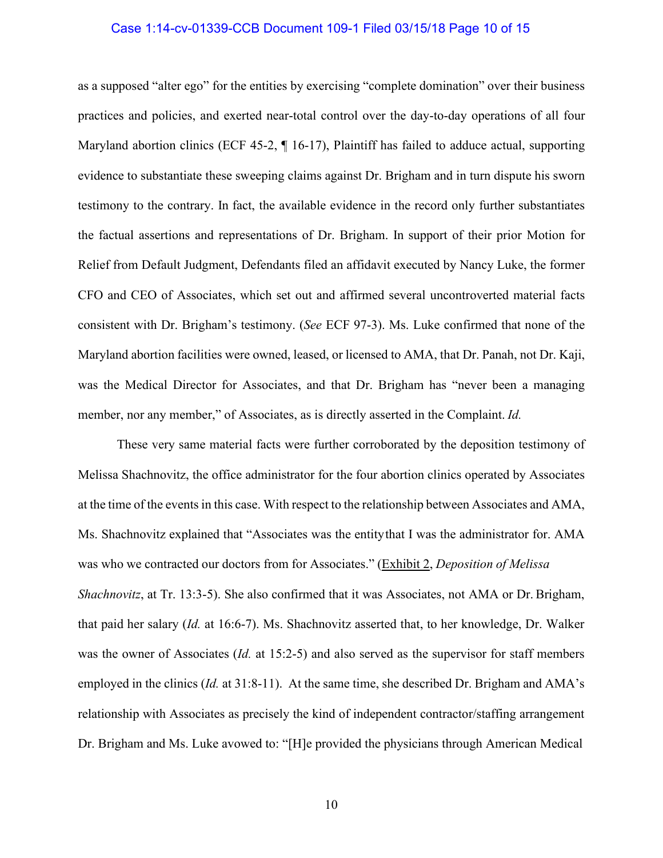# Case 1:14-cv-01339-CCB Document 109-1 Filed 03/15/18 Page 10 of 15

as a supposed "alter ego" for the entities by exercising "complete domination" over their business practices and policies, and exerted near-total control over the day-to-day operations of all four Maryland abortion clinics (ECF 45-2, ¶ 16-17), Plaintiff has failed to adduce actual, supporting evidence to substantiate these sweeping claims against Dr. Brigham and in turn dispute his sworn testimony to the contrary. In fact, the available evidence in the record only further substantiates the factual assertions and representations of Dr. Brigham. In support of their prior Motion for Relief from Default Judgment, Defendants filed an affidavit executed by Nancy Luke, the former CFO and CEO of Associates, which set out and affirmed several uncontroverted material facts consistent with Dr. Brigham's testimony. (*See* ECF 97-3). Ms. Luke confirmed that none of the Maryland abortion facilities were owned, leased, or licensed to AMA, that Dr. Panah, not Dr. Kaji, was the Medical Director for Associates, and that Dr. Brigham has "never been a managing member, nor any member," of Associates, as is directly asserted in the Complaint. *Id.*

These very same material facts were further corroborated by the deposition testimony of Melissa Shachnovitz, the office administrator for the four abortion clinics operated by Associates at the time of the events in this case. With respect to the relationship between Associates and AMA, Ms. Shachnovitz explained that "Associates was the entitythat I was the administrator for. AMA was who we contracted our doctors from for Associates." (Exhibit 2, *Deposition of Melissa Shachnovitz*, at Tr. 13:3-5). She also confirmed that it was Associates, not AMA or Dr. Brigham, that paid her salary (*Id.* at 16:6-7). Ms. Shachnovitz asserted that, to her knowledge, Dr. Walker was the owner of Associates (*Id.* at 15:2-5) and also served as the supervisor for staff members employed in the clinics (*Id.* at 31:8-11). At the same time, she described Dr. Brigham and AMA's relationship with Associates as precisely the kind of independent contractor/staffing arrangement Dr. Brigham and Ms. Luke avowed to: "[H]e provided the physicians through American Medical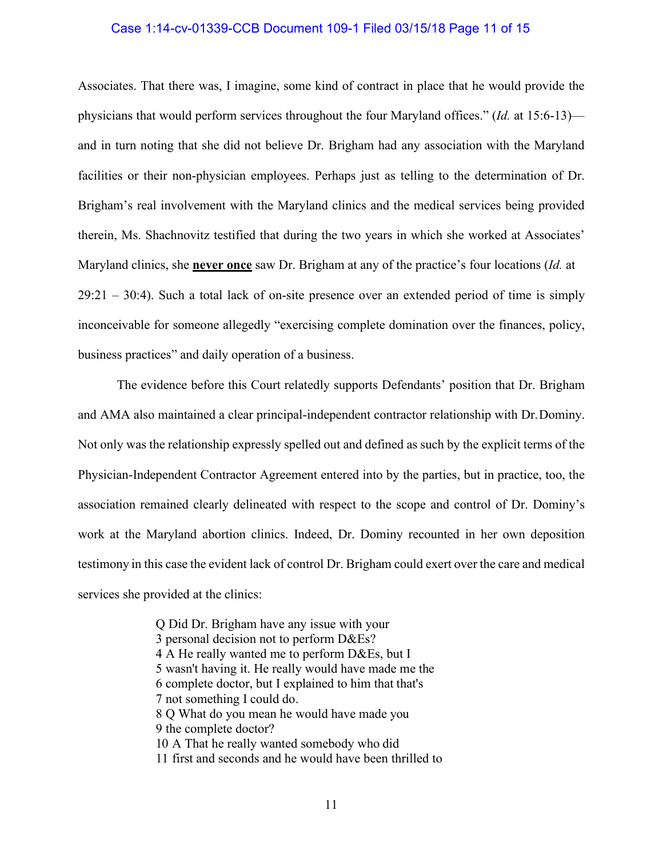### Case 1:14-cv-01339-CCB Document 109-1 Filed 03/15/18 Page 11 of 15

Associates. That there was, I imagine, some kind of contract in place that he would provide the physicians that would perform services throughout the four Maryland offices." (*Id.* at 15:6-13) and in turn noting that she did not believe Dr. Brigham had any association with the Maryland facilities or their non-physician employees. Perhaps just as telling to the determination of Dr. Brigham's real involvement with the Maryland clinics and the medical services being provided therein, Ms. Shachnovitz testified that during the two years in which she worked at Associates' Maryland clinics, she **never once** saw Dr. Brigham at any of the practice's four locations (*Id.* at  $29:21 - 30:4$ ). Such a total lack of on-site presence over an extended period of time is simply inconceivable for someone allegedly "exercising complete domination over the finances, policy, business practices" and daily operation of a business.

The evidence before this Court relatedly supports Defendants' position that Dr. Brigham and AMA also maintained a clear principal-independent contractor relationship with Dr.Dominy. Not only was the relationship expressly spelled out and defined as such by the explicit terms of the Physician-Independent Contractor Agreement entered into by the parties, but in practice, too, the association remained clearly delineated with respect to the scope and control of Dr. Dominy's work at the Maryland abortion clinics. Indeed, Dr. Dominy recounted in her own deposition testimony in this case the evident lack of control Dr. Brigham could exert over the care and medical services she provided at the clinics:

> Q Did Dr. Brigham have any issue with your 3 personal decision not to perform D&Es? 4 A He really wanted me to perform D&Es, but I 5 wasn't having it. He really would have made me the 6 complete doctor, but I explained to him that that's 7 not something I could do. 8 Q What do you mean he would have made you 9 the complete doctor? 10 A That he really wanted somebody who did 11 first and seconds and he would have been thrilled to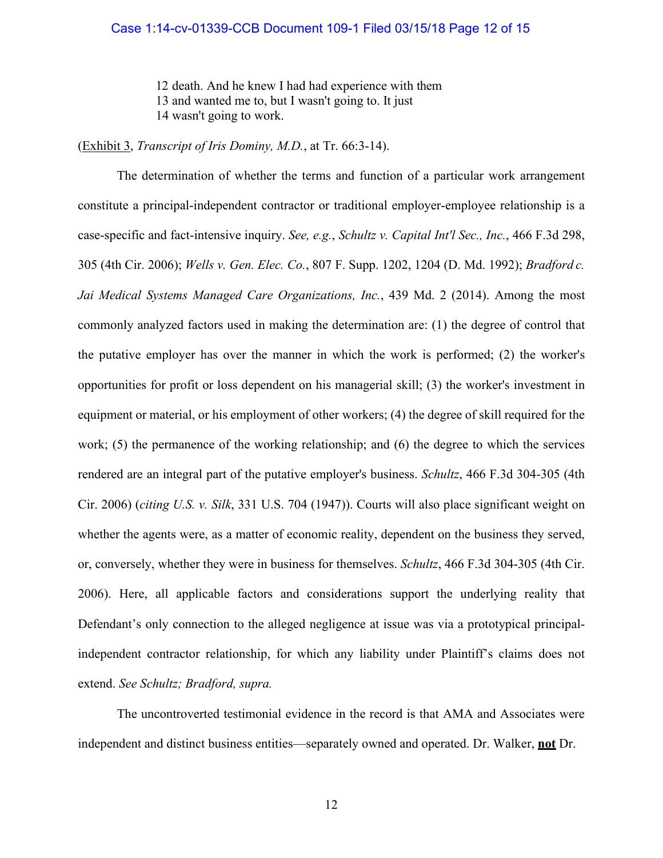#### Case 1:14-cv-01339-CCB Document 109-1 Filed 03/15/18 Page 12 of 15

12 death. And he knew I had had experience with them 13 and wanted me to, but I wasn't going to. It just 14 wasn't going to work.

### (Exhibit 3, *Transcript of Iris Dominy, M.D.*, at Tr. 66:3-14).

The determination of whether the terms and function of a particular work arrangement constitute a principal-independent contractor or traditional employer-employee relationship is a case-specific and fact-intensive inquiry. *See, e.g.*, *Schultz v. Capital Int'l Sec., Inc.*, 466 F.3d 298, 305 (4th Cir. 2006); *Wells v. Gen. Elec. Co.*, 807 F. Supp. 1202, 1204 (D. Md. 1992); *Bradford c. Jai Medical Systems Managed Care Organizations, Inc.*, 439 Md. 2 (2014). Among the most commonly analyzed factors used in making the determination are: (1) the degree of control that the putative employer has over the manner in which the work is performed; (2) the worker's opportunities for profit or loss dependent on his managerial skill; (3) the worker's investment in equipment or material, or his employment of other workers; (4) the degree of skill required for the work; (5) the permanence of the working relationship; and (6) the degree to which the services rendered are an integral part of the putative employer's business. *Schultz*, 466 F.3d 304-305 (4th Cir. 2006) (*citing U.S. v. Silk*, 331 U.S. 704 (1947)). Courts will also place significant weight on whether the agents were, as a matter of economic reality, dependent on the business they served, or, conversely, whether they were in business for themselves. *Schultz*, 466 F.3d 304-305 (4th Cir. 2006). Here, all applicable factors and considerations support the underlying reality that Defendant's only connection to the alleged negligence at issue was via a prototypical principalindependent contractor relationship, for which any liability under Plaintiff's claims does not extend. *See Schultz; Bradford, supra.*

The uncontroverted testimonial evidence in the record is that AMA and Associates were independent and distinct business entities—separately owned and operated. Dr. Walker, **not** Dr.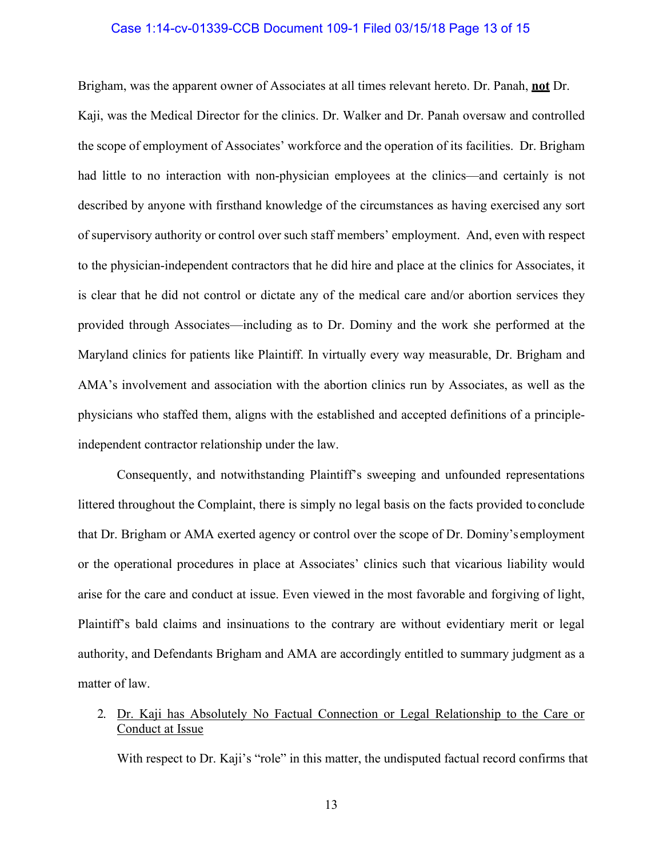#### Case 1:14-cv-01339-CCB Document 109-1 Filed 03/15/18 Page 13 of 15

Brigham, was the apparent owner of Associates at all times relevant hereto. Dr. Panah, **not** Dr.

Kaji, was the Medical Director for the clinics. Dr. Walker and Dr. Panah oversaw and controlled the scope of employment of Associates' workforce and the operation of its facilities. Dr. Brigham had little to no interaction with non-physician employees at the clinics—and certainly is not described by anyone with firsthand knowledge of the circumstances as having exercised any sort of supervisory authority or control over such staff members' employment. And, even with respect to the physician-independent contractors that he did hire and place at the clinics for Associates, it is clear that he did not control or dictate any of the medical care and/or abortion services they provided through Associates—including as to Dr. Dominy and the work she performed at the Maryland clinics for patients like Plaintiff. In virtually every way measurable, Dr. Brigham and AMA's involvement and association with the abortion clinics run by Associates, as well as the physicians who staffed them, aligns with the established and accepted definitions of a principleindependent contractor relationship under the law.

Consequently, and notwithstanding Plaintiff's sweeping and unfounded representations littered throughout the Complaint, there is simply no legal basis on the facts provided to conclude that Dr. Brigham or AMA exerted agency or control over the scope of Dr. Dominy'semployment or the operational procedures in place at Associates' clinics such that vicarious liability would arise for the care and conduct at issue. Even viewed in the most favorable and forgiving of light, Plaintiff's bald claims and insinuations to the contrary are without evidentiary merit or legal authority, and Defendants Brigham and AMA are accordingly entitled to summary judgment as a matter of law.

# 2. Dr. Kaji has Absolutely No Factual Connection or Legal Relationship to the Care or Conduct at Issue

With respect to Dr. Kaji's "role" in this matter, the undisputed factual record confirms that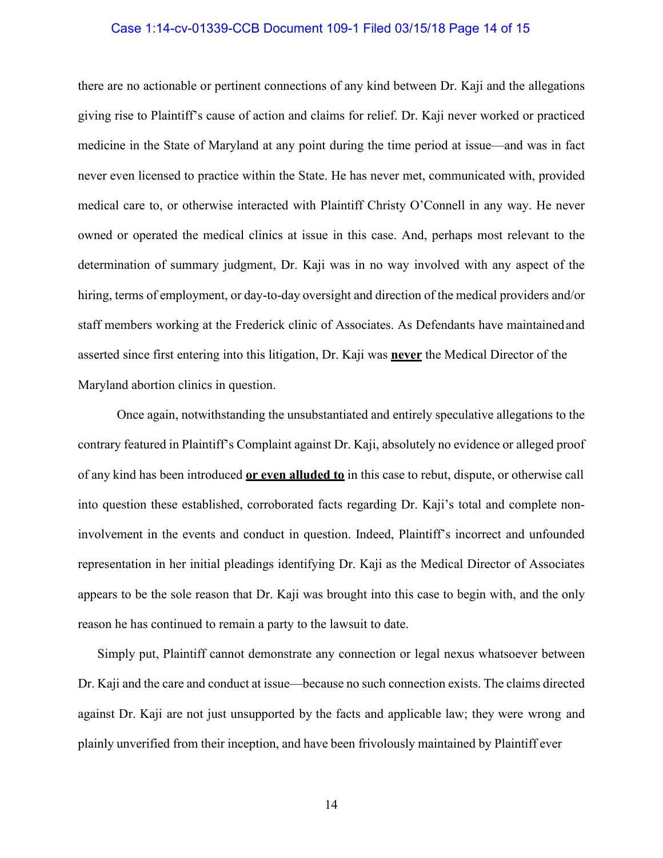#### Case 1:14-cv-01339-CCB Document 109-1 Filed 03/15/18 Page 14 of 15

there are no actionable or pertinent connections of any kind between Dr. Kaji and the allegations giving rise to Plaintiff's cause of action and claims for relief. Dr. Kaji never worked or practiced medicine in the State of Maryland at any point during the time period at issue—and was in fact never even licensed to practice within the State. He has never met, communicated with, provided medical care to, or otherwise interacted with Plaintiff Christy O'Connell in any way. He never owned or operated the medical clinics at issue in this case. And, perhaps most relevant to the determination of summary judgment, Dr. Kaji was in no way involved with any aspect of the hiring, terms of employment, or day-to-day oversight and direction of the medical providers and/or staff members working at the Frederick clinic of Associates. As Defendants have maintainedand asserted since first entering into this litigation, Dr. Kaji was **never** the Medical Director of the Maryland abortion clinics in question.

Once again, notwithstanding the unsubstantiated and entirely speculative allegations to the contrary featured in Plaintiff's Complaint against Dr. Kaji, absolutely no evidence or alleged proof of any kind has been introduced **or even alluded to** in this case to rebut, dispute, or otherwise call into question these established, corroborated facts regarding Dr. Kaji's total and complete noninvolvement in the events and conduct in question. Indeed, Plaintiff's incorrect and unfounded representation in her initial pleadings identifying Dr. Kaji as the Medical Director of Associates appears to be the sole reason that Dr. Kaji was brought into this case to begin with, and the only reason he has continued to remain a party to the lawsuit to date.

Simply put, Plaintiff cannot demonstrate any connection or legal nexus whatsoever between Dr. Kaji and the care and conduct at issue—because no such connection exists. The claims directed against Dr. Kaji are not just unsupported by the facts and applicable law; they were wrong and plainly unverified from their inception, and have been frivolously maintained by Plaintiff ever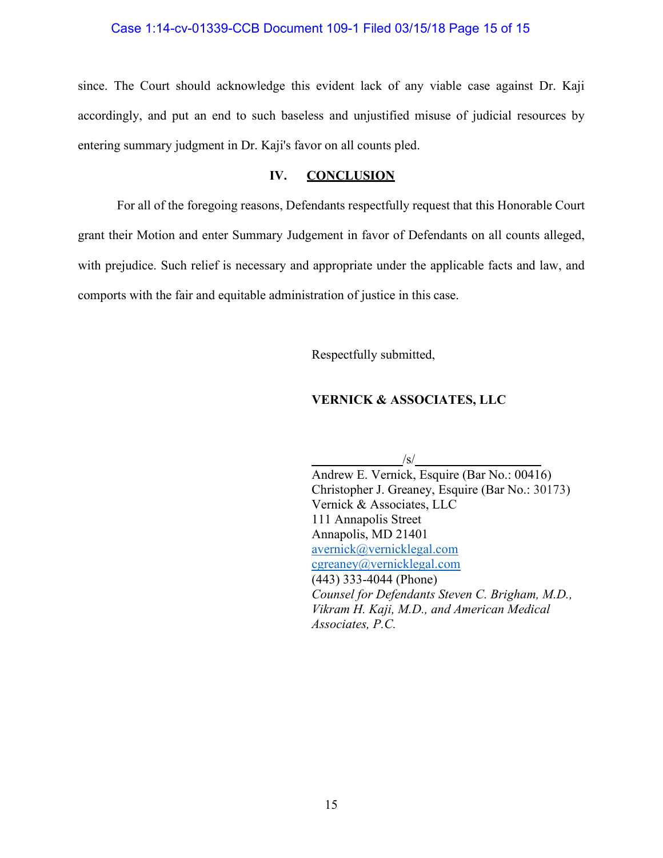### Case 1:14-cv-01339-CCB Document 109-1 Filed 03/15/18 Page 15 of 15

since. The Court should acknowledge this evident lack of any viable case against Dr. Kaji accordingly, and put an end to such baseless and unjustified misuse of judicial resources by entering summary judgment in Dr. Kaji's favor on all counts pled.

#### **IV. CONCLUSION**

For all of the foregoing reasons, Defendants respectfully request that this Honorable Court grant their Motion and enter Summary Judgement in favor of Defendants on all counts alleged, with prejudice. Such relief is necessary and appropriate under the applicable facts and law, and comports with the fair and equitable administration of justice in this case.

Respectfully submitted,

### **VERNICK & ASSOCIATES, LLC**

 $\sqrt{s/}$ 

Andrew E. Vernick, Esquire (Bar No.: 00416) Christopher J. Greaney, Esquire (Bar No.: 30173) Vernick & Associates, LLC 111 Annapolis Street Annapolis, MD 21401 [avernick@vernicklegal.com](mailto:avernick@vernicklegal.com) [cgreaney@vernicklegal.com](mailto:cgreaney@vernicklegal.com) (443) 333-4044 (Phone) *Counsel for Defendants Steven C. Brigham, M.D., Vikram H. Kaji, M.D., and American Medical Associates, P.C.*